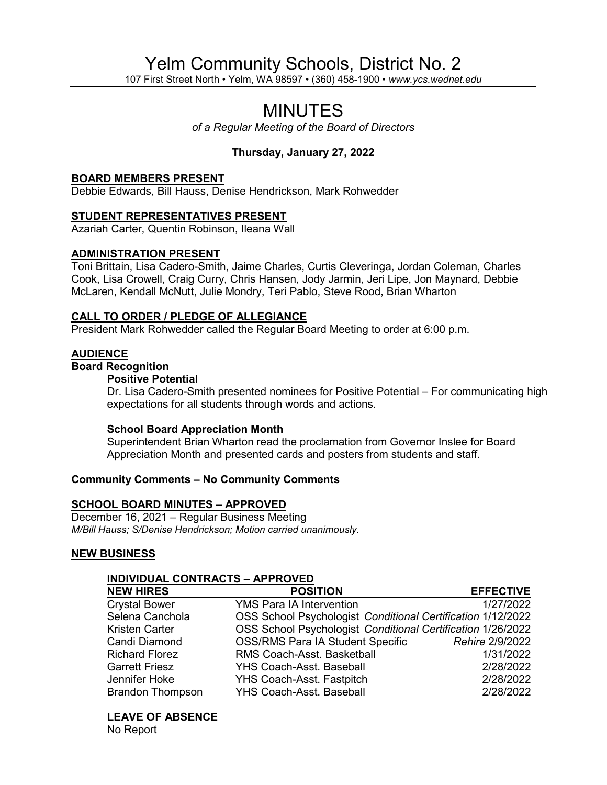# Yelm Community Schools, District No. 2

107 First Street North • Yelm, WA 98597 • (360) 458-1900 • *www.ycs.wednet.edu*

# MINUTES

*of a Regular Meeting of the Board of Directors*

# **Thursday, January 27, 2022**

#### **BOARD MEMBERS PRESENT**

Debbie Edwards, Bill Hauss, Denise Hendrickson, Mark Rohwedder

### **STUDENT REPRESENTATIVES PRESENT**

Azariah Carter, Quentin Robinson, Ileana Wall

### **ADMINISTRATION PRESENT**

Toni Brittain, Lisa Cadero-Smith, Jaime Charles, Curtis Cleveringa, Jordan Coleman, Charles Cook, Lisa Crowell, Craig Curry, Chris Hansen, Jody Jarmin, Jeri Lipe, Jon Maynard, Debbie McLaren, Kendall McNutt, Julie Mondry, Teri Pablo, Steve Rood, Brian Wharton

### **CALL TO ORDER / PLEDGE OF ALLEGIANCE**

President Mark Rohwedder called the Regular Board Meeting to order at 6:00 p.m.

### **AUDIENCE**

# **Board Recognition**

#### **Positive Potential**

Dr. Lisa Cadero-Smith presented nominees for Positive Potential – For communicating high expectations for all students through words and actions.

### **School Board Appreciation Month**

Superintendent Brian Wharton read the proclamation from Governor Inslee for Board Appreciation Month and presented cards and posters from students and staff.

## **Community Comments – No Community Comments**

#### **SCHOOL BOARD MINUTES – APPROVED**

December 16, 2021 – Regular Business Meeting *M/Bill Hauss; S/Denise Hendrickson; Motion carried unanimously.*

### **NEW BUSINESS**

### **INDIVIDUAL CONTRACTS – APPROVED**

| <b>POSITION</b>                  | <b>EFFECTIVE</b>                                                                                                                                               |
|----------------------------------|----------------------------------------------------------------------------------------------------------------------------------------------------------------|
| <b>YMS Para IA Intervention</b>  | 1/27/2022                                                                                                                                                      |
|                                  |                                                                                                                                                                |
|                                  |                                                                                                                                                                |
|                                  | Rehire 2/9/2022                                                                                                                                                |
| RMS Coach-Asst. Basketball       | 1/31/2022                                                                                                                                                      |
| <b>YHS Coach-Asst. Baseball</b>  | 2/28/2022                                                                                                                                                      |
| <b>YHS Coach-Asst. Fastpitch</b> | 2/28/2022                                                                                                                                                      |
| <b>YHS Coach-Asst. Baseball</b>  | 2/28/2022                                                                                                                                                      |
|                                  | OSS School Psychologist Conditional Certification 1/12/2022<br>OSS School Psychologist Conditional Certification 1/26/2022<br>OSS/RMS Para IA Student Specific |

**LEAVE OF ABSENCE**

No Report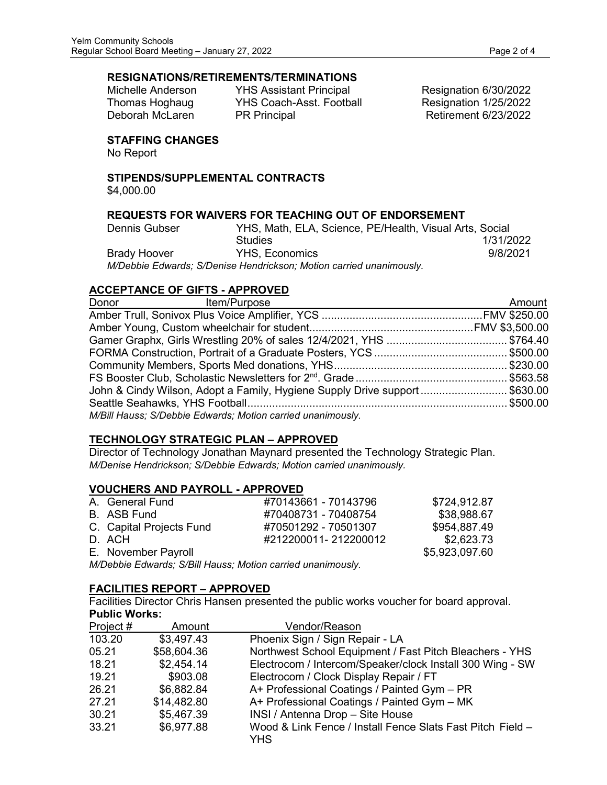# **RESIGNATIONS/RETIREMENTS/TERMINATIONS**

Michelle Anderson YHS Assistant Principal Resignation 6/30/2022 Thomas Hoghaug YHS Coach-Asst. Football Resignation 1/25/2022<br>Deborah McLaren PR Principal Retirement 6/23/2022 PR Principal **National Retirement 6/23/2022** 

# **STAFFING CHANGES**

No Report

# **STIPENDS/SUPPLEMENTAL CONTRACTS**

\$4,000.00

# **REQUESTS FOR WAIVERS FOR TEACHING OUT OF ENDORSEMENT**

| Dennis Gubser       | YHS, Math, ELA, Science, PE/Health, Visual Arts, Social             |           |
|---------------------|---------------------------------------------------------------------|-----------|
|                     | <b>Studies</b>                                                      | 1/31/2022 |
| <b>Brady Hoover</b> | <b>YHS.</b> Economics                                               | 9/8/2021  |
|                     | M/Debbie Edwards; S/Denise Hendrickson; Motion carried unanimously. |           |

# **ACCEPTANCE OF GIFTS - APPROVED**

| Donor Item/Purpose                                                        | Amount |
|---------------------------------------------------------------------------|--------|
|                                                                           |        |
|                                                                           |        |
|                                                                           |        |
|                                                                           |        |
|                                                                           |        |
|                                                                           |        |
| John & Cindy Wilson, Adopt a Family, Hygiene Supply Drive support\$630.00 |        |
|                                                                           |        |
| M/Bill Hauss; S/Debbie Edwards; Motion carried unanimously.               |        |

# **TECHNOLOGY STRATEGIC PLAN – APPROVED**

Director of Technology Jonathan Maynard presented the Technology Strategic Plan. *M/Denise Hendrickson; S/Debbie Edwards; Motion carried unanimously.*

# **VOUCHERS AND PAYROLL - APPROVED**

| A. General Fund                                             | #70143661 - 70143796 | \$724,912.87   |
|-------------------------------------------------------------|----------------------|----------------|
| B. ASB Fund                                                 | #70408731 - 70408754 | \$38,988.67    |
| C. Capital Projects Fund                                    | #70501292 - 70501307 | \$954,887.49   |
| D. ACH                                                      | #212200011-212200012 | \$2,623.73     |
| E. November Payroll                                         |                      | \$5,923,097.60 |
| M/Debbie Edwards; S/Bill Hauss; Motion carried unanimously. |                      |                |

# **FACILITIES REPORT – APPROVED**

Facilities Director Chris Hansen presented the public works voucher for board approval. **Public Works:**

| Project # | Amount      | Vendor/Reason                                              |
|-----------|-------------|------------------------------------------------------------|
| 103.20    | \$3,497.43  | Phoenix Sign / Sign Repair - LA                            |
| 05.21     | \$58,604.36 | Northwest School Equipment / Fast Pitch Bleachers - YHS    |
| 18.21     | \$2,454.14  | Electrocom / Intercom/Speaker/clock Install 300 Wing - SW  |
| 19.21     | \$903.08    | Electrocom / Clock Display Repair / FT                     |
| 26.21     | \$6,882.84  | A+ Professional Coatings / Painted Gym - PR                |
| 27.21     | \$14,482.80 | A+ Professional Coatings / Painted Gym - MK                |
| 30.21     | \$5,467.39  | INSI / Antenna Drop - Site House                           |
| 33.21     | \$6,977.88  | Wood & Link Fence / Install Fence Slats Fast Pitch Field - |
|           |             | YHS                                                        |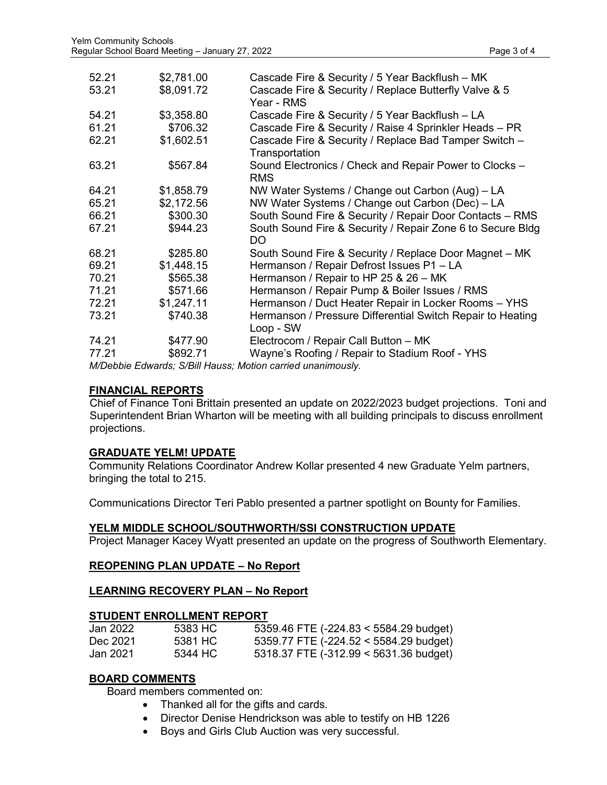| 52.21<br>53.21 | \$2,781.00<br>\$8,091.72 | Cascade Fire & Security / 5 Year Backflush - MK<br>Cascade Fire & Security / Replace Butterfly Valve & 5<br>Year - RMS |
|----------------|--------------------------|------------------------------------------------------------------------------------------------------------------------|
| 54.21          | \$3,358.80               | Cascade Fire & Security / 5 Year Backflush - LA                                                                        |
| 61.21          | \$706.32                 | Cascade Fire & Security / Raise 4 Sprinkler Heads - PR                                                                 |
| 62.21          | \$1,602.51               | Cascade Fire & Security / Replace Bad Tamper Switch -<br>Transportation                                                |
| 63.21          | \$567.84                 | Sound Electronics / Check and Repair Power to Clocks -<br><b>RMS</b>                                                   |
| 64.21          | \$1,858.79               | NW Water Systems / Change out Carbon (Aug) – LA                                                                        |
| 65.21          | \$2,172.56               | NW Water Systems / Change out Carbon (Dec) - LA                                                                        |
| 66.21          | \$300.30                 | South Sound Fire & Security / Repair Door Contacts - RMS                                                               |
| 67.21          | \$944.23                 | South Sound Fire & Security / Repair Zone 6 to Secure Bldg<br>DO                                                       |
| 68.21          | \$285.80                 | South Sound Fire & Security / Replace Door Magnet - MK                                                                 |
| 69.21          | \$1,448.15               | Hermanson / Repair Defrost Issues P1 - LA                                                                              |
| 70.21          | \$565.38                 | Hermanson / Repair to HP 25 & 26 - MK                                                                                  |
| 71.21          | \$571.66                 | Hermanson / Repair Pump & Boiler Issues / RMS                                                                          |
| 72.21          | \$1,247.11               | Hermanson / Duct Heater Repair in Locker Rooms - YHS                                                                   |
| 73.21          | \$740.38                 | Hermanson / Pressure Differential Switch Repair to Heating<br>Loop - SW                                                |
| 74.21          | \$477.90                 | Electrocom / Repair Call Button - MK                                                                                   |
| 77.21          | \$892.71                 | Wayne's Roofing / Repair to Stadium Roof - YHS                                                                         |

*M/Debbie Edwards; S/Bill Hauss; Motion carried unanimously.*

## **FINANCIAL REPORTS**

 Chief of Finance Toni Brittain presented an update on 2022/2023 budget projections. Toni and Superintendent Brian Wharton will be meeting with all building principals to discuss enrollment projections.

# **GRADUATE YELM! UPDATE**

Community Relations Coordinator Andrew Kollar presented 4 new Graduate Yelm partners, bringing the total to 215.

Communications Director Teri Pablo presented a partner spotlight on Bounty for Families.

### **YELM MIDDLE SCHOOL/SOUTHWORTH/SSI CONSTRUCTION UPDATE**

Project Manager Kacey Wyatt presented an update on the progress of Southworth Elementary.

### **REOPENING PLAN UPDATE – No Report**

### **LEARNING RECOVERY PLAN – No Report**

#### **STUDENT ENROLLMENT REPORT**

| Jan 2022. | 5383 HC | 5359.46 FTE $(-224.83 \le 5584.29 \text{ budget})$ |
|-----------|---------|----------------------------------------------------|
| Dec 2021  | 5381 HC | 5359.77 FTE $(-224.52 \le 5584.29$ budget)         |
| Jan 2021  | 5344 HC | 5318.37 FTE (-312.99 < 5631.36 budget)             |

# **BOARD COMMENTS**

Board members commented on:

- Thanked all for the gifts and cards.
- Director Denise Hendrickson was able to testify on HB 1226
- Boys and Girls Club Auction was very successful.